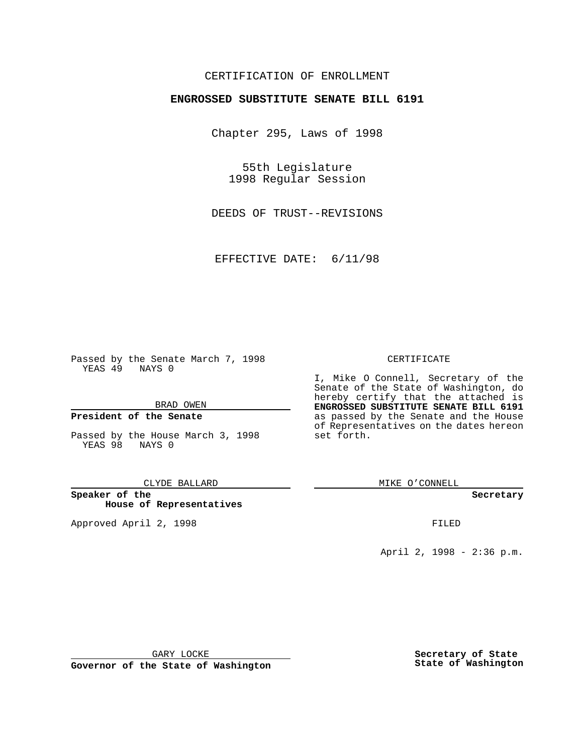#### CERTIFICATION OF ENROLLMENT

#### **ENGROSSED SUBSTITUTE SENATE BILL 6191**

Chapter 295, Laws of 1998

55th Legislature 1998 Regular Session

DEEDS OF TRUST--REVISIONS

EFFECTIVE DATE: 6/11/98

Passed by the Senate March 7, 1998 YEAS 49 NAYS 0

BRAD OWEN

#### **President of the Senate**

Passed by the House March 3, 1998 YEAS 98 NAYS 0

CLYDE BALLARD

**Speaker of the House of Representatives**

Approved April 2, 1998 **FILED** 

#### CERTIFICATE

I, Mike O Connell, Secretary of the Senate of the State of Washington, do hereby certify that the attached is **ENGROSSED SUBSTITUTE SENATE BILL 6191** as passed by the Senate and the House of Representatives on the dates hereon set forth.

MIKE O'CONNELL

**Secretary**

April 2, 1998 - 2:36 p.m.

GARY LOCKE

**Governor of the State of Washington**

**Secretary of State State of Washington**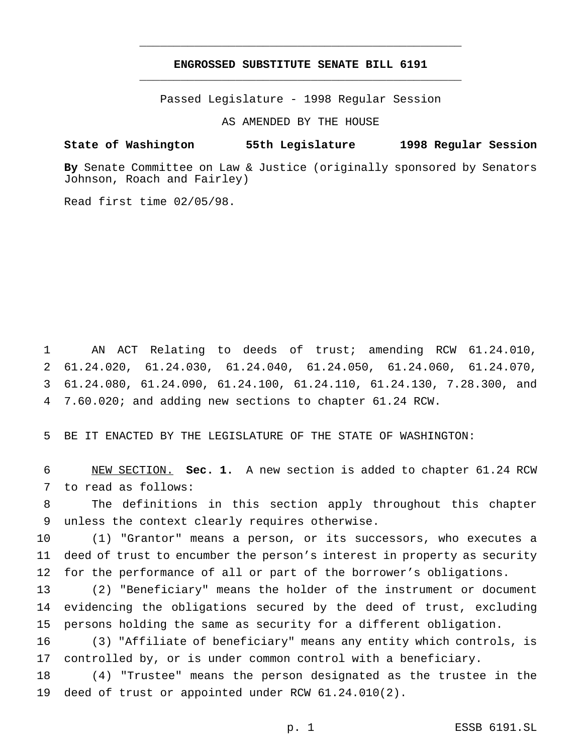#### **ENGROSSED SUBSTITUTE SENATE BILL 6191** \_\_\_\_\_\_\_\_\_\_\_\_\_\_\_\_\_\_\_\_\_\_\_\_\_\_\_\_\_\_\_\_\_\_\_\_\_\_\_\_\_\_\_\_\_\_\_

\_\_\_\_\_\_\_\_\_\_\_\_\_\_\_\_\_\_\_\_\_\_\_\_\_\_\_\_\_\_\_\_\_\_\_\_\_\_\_\_\_\_\_\_\_\_\_

Passed Legislature - 1998 Regular Session

AS AMENDED BY THE HOUSE

#### **State of Washington 55th Legislature 1998 Regular Session**

**By** Senate Committee on Law & Justice (originally sponsored by Senators Johnson, Roach and Fairley)

Read first time 02/05/98.

 AN ACT Relating to deeds of trust; amending RCW 61.24.010, 61.24.020, 61.24.030, 61.24.040, 61.24.050, 61.24.060, 61.24.070, 61.24.080, 61.24.090, 61.24.100, 61.24.110, 61.24.130, 7.28.300, and 7.60.020; and adding new sections to chapter 61.24 RCW.

BE IT ENACTED BY THE LEGISLATURE OF THE STATE OF WASHINGTON:

 NEW SECTION. **Sec. 1.** A new section is added to chapter 61.24 RCW to read as follows:

 The definitions in this section apply throughout this chapter unless the context clearly requires otherwise.

 (1) "Grantor" means a person, or its successors, who executes a deed of trust to encumber the person's interest in property as security for the performance of all or part of the borrower's obligations.

 (2) "Beneficiary" means the holder of the instrument or document evidencing the obligations secured by the deed of trust, excluding persons holding the same as security for a different obligation.

 (3) "Affiliate of beneficiary" means any entity which controls, is controlled by, or is under common control with a beneficiary.

 (4) "Trustee" means the person designated as the trustee in the deed of trust or appointed under RCW 61.24.010(2).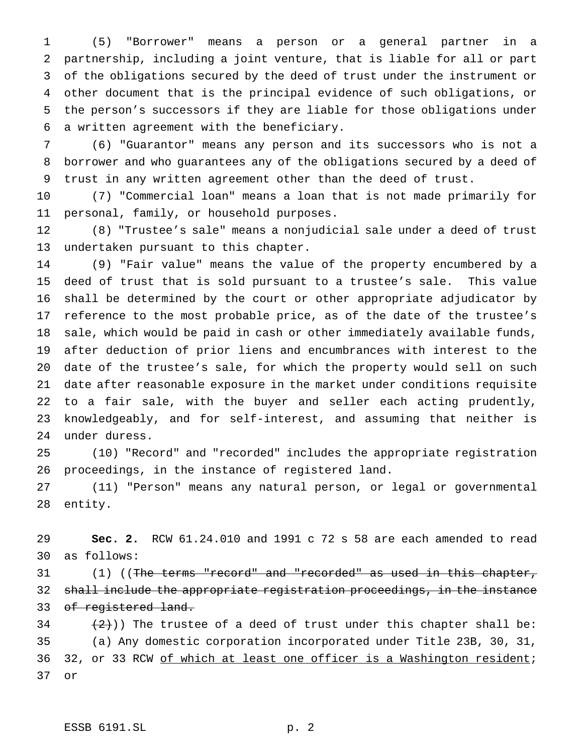(5) "Borrower" means a person or a general partner in a partnership, including a joint venture, that is liable for all or part of the obligations secured by the deed of trust under the instrument or other document that is the principal evidence of such obligations, or the person's successors if they are liable for those obligations under a written agreement with the beneficiary.

 (6) "Guarantor" means any person and its successors who is not a borrower and who guarantees any of the obligations secured by a deed of trust in any written agreement other than the deed of trust.

 (7) "Commercial loan" means a loan that is not made primarily for personal, family, or household purposes.

 (8) "Trustee's sale" means a nonjudicial sale under a deed of trust undertaken pursuant to this chapter.

 (9) "Fair value" means the value of the property encumbered by a deed of trust that is sold pursuant to a trustee's sale. This value shall be determined by the court or other appropriate adjudicator by reference to the most probable price, as of the date of the trustee's sale, which would be paid in cash or other immediately available funds, after deduction of prior liens and encumbrances with interest to the date of the trustee's sale, for which the property would sell on such date after reasonable exposure in the market under conditions requisite to a fair sale, with the buyer and seller each acting prudently, knowledgeably, and for self-interest, and assuming that neither is under duress.

 (10) "Record" and "recorded" includes the appropriate registration proceedings, in the instance of registered land.

 (11) "Person" means any natural person, or legal or governmental entity.

 **Sec. 2.** RCW 61.24.010 and 1991 c 72 s 58 are each amended to read as follows:

31 (1) ((The terms "record" and "recorded" as used in this chapter, shall include the appropriate registration proceedings, in the instance 33 of registered land.

34  $(2)$ )) The trustee of a deed of trust under this chapter shall be: (a) Any domestic corporation incorporated under Title 23B, 30, 31, 36 32, or 33 RCW of which at least one officer is a Washington resident; or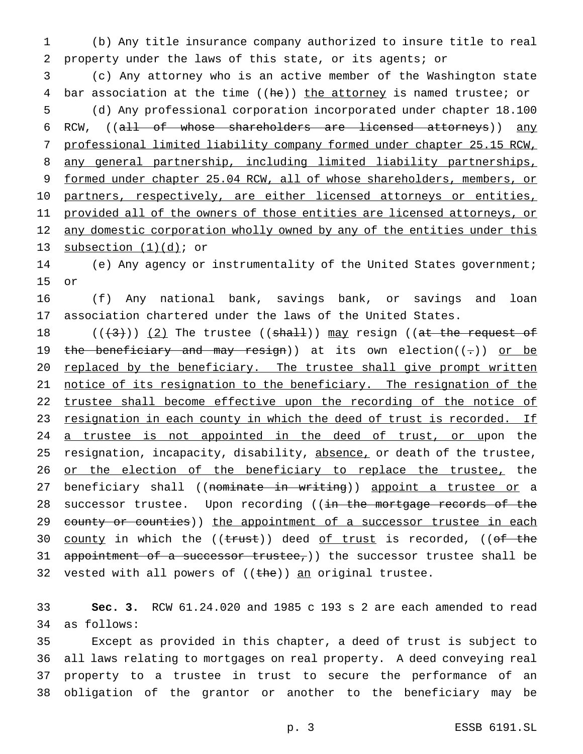1 (b) Any title insurance company authorized to insure title to real 2 property under the laws of this state, or its agents; or

3 (c) Any attorney who is an active member of the Washington state 4 bar association at the time ((he)) the attorney is named trustee; or 5 (d) Any professional corporation incorporated under chapter 18.100 6 RCW, ((all of whose shareholders are licensed attorneys)) any 7 professional limited liability company formed under chapter 25.15 RCW, 8 any general partnership, including limited liability partnerships, 9 formed under chapter 25.04 RCW, all of whose shareholders, members, or 10 partners, respectively, are either licensed attorneys or entities, 11 provided all of the owners of those entities are licensed attorneys, or 12 any domestic corporation wholly owned by any of the entities under this 13 subsection  $(1)(d)$ ; or

14 (e) Any agency or instrumentality of the United States government; 15 or

16 (f) Any national bank, savings bank, or savings and loan 17 association chartered under the laws of the United States.

18  $((+3))$   $(2)$  The trustee  $((shall))$  may resign  $((at the request of$ 19 the beneficiary and may resign)) at its own election( $(-)$ ) or be 20 replaced by the beneficiary. The trustee shall give prompt written 21 notice of its resignation to the beneficiary. The resignation of the 22 trustee shall become effective upon the recording of the notice of 23 resignation in each county in which the deed of trust is recorded. If 24 a trustee is not appointed in the deed of trust, or upon the 25 resignation, incapacity, disability, absence, or death of the trustee, 26 or the election of the beneficiary to replace the trustee, the 27 beneficiary shall ((nominate in writing)) appoint a trustee or a 28 successor trustee. Upon recording ((in the mortgage records of the 29 county or counties)) the appointment of a successor trustee in each 30 county in which the ((trust)) deed of trust is recorded, ((of the 31 appointment of a successor trustee,)) the successor trustee shall be 32 vested with all powers of  $((the))$  an original trustee.

33 **Sec. 3.** RCW 61.24.020 and 1985 c 193 s 2 are each amended to read 34 as follows:

 Except as provided in this chapter, a deed of trust is subject to all laws relating to mortgages on real property. A deed conveying real property to a trustee in trust to secure the performance of an obligation of the grantor or another to the beneficiary may be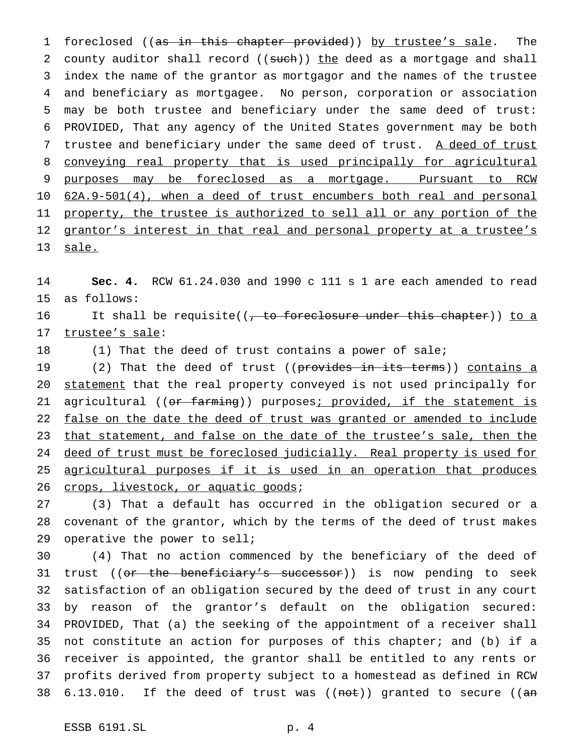1 foreclosed ((as in this chapter provided)) by trustee's sale. The 2 county auditor shall record ((such)) the deed as a mortgage and shall index the name of the grantor as mortgagor and the names of the trustee and beneficiary as mortgagee. No person, corporation or association may be both trustee and beneficiary under the same deed of trust: PROVIDED, That any agency of the United States government may be both 7 trustee and beneficiary under the same deed of trust. A deed of trust conveying real property that is used principally for agricultural purposes may be foreclosed as a mortgage. Pursuant to RCW 62A.9-501(4), when a deed of trust encumbers both real and personal property, the trustee is authorized to sell all or any portion of the 12 grantor's interest in that real and personal property at a trustee's 13 sale.

14 **Sec. 4.** RCW 61.24.030 and 1990 c 111 s 1 are each amended to read 15 as follows:

16 It shall be requisite((, to foreclosure under this chapter)) to a 17 trustee's sale:

18 (1) That the deed of trust contains a power of sale;

19 (2) That the deed of trust ((provides in its terms)) contains a 20 statement that the real property conveyed is not used principally for 21 agricultural ((or farming)) purposes; provided, if the statement is 22 false on the date the deed of trust was granted or amended to include 23 that statement, and false on the date of the trustee's sale, then the 24 deed of trust must be foreclosed judicially. Real property is used for 25 agricultural purposes if it is used in an operation that produces 26 crops, livestock, or aquatic goods;

27 (3) That a default has occurred in the obligation secured or a 28 covenant of the grantor, which by the terms of the deed of trust makes 29 operative the power to sell;

 (4) That no action commenced by the beneficiary of the deed of 31 trust ((<del>or the beneficiary's successor</del>)) is now pending to seek satisfaction of an obligation secured by the deed of trust in any court by reason of the grantor's default on the obligation secured: PROVIDED, That (a) the seeking of the appointment of a receiver shall not constitute an action for purposes of this chapter; and (b) if a receiver is appointed, the grantor shall be entitled to any rents or profits derived from property subject to a homestead as defined in RCW  $6.13.010$ . If the deed of trust was  $((not))$  granted to secure  $((an))$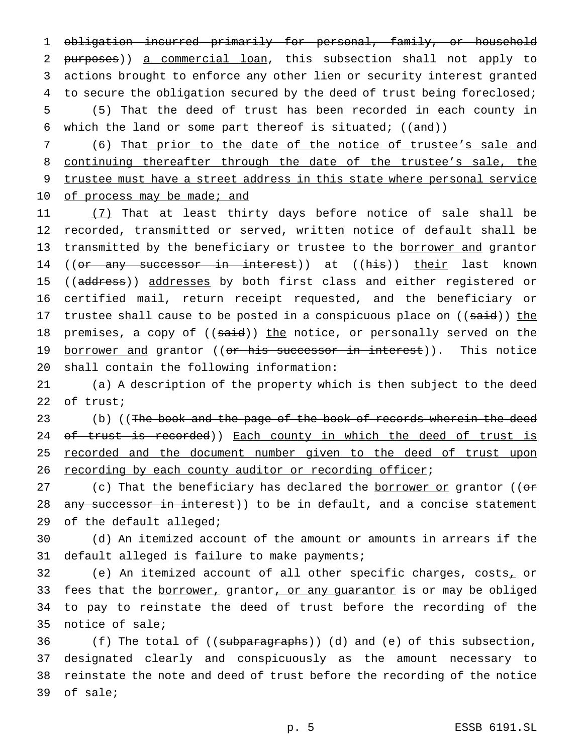obligation incurred primarily for personal, family, or household purposes)) a commercial loan, this subsection shall not apply to actions brought to enforce any other lien or security interest granted 4 to secure the obligation secured by the deed of trust being foreclosed; (5) That the deed of trust has been recorded in each county in 6 which the land or some part thereof is situated;  $((and))$ 

7 (6) That prior to the date of the notice of trustee's sale and 8 continuing thereafter through the date of the trustee's sale, the 9 trustee must have a street address in this state where personal service 10 of process may be made; and

11 (7) That at least thirty days before notice of sale shall be 12 recorded, transmitted or served, written notice of default shall be 13 transmitted by the beneficiary or trustee to the borrower and grantor 14 ((or any successor in interest)) at ((his)) their last known 15 ((address)) addresses by both first class and either registered or 16 certified mail, return receipt requested, and the beneficiary or 17 trustee shall cause to be posted in a conspicuous place on ((said)) the 18 premises, a copy of ((said)) the notice, or personally served on the 19 borrower and grantor ((or his successor in interest)). This notice 20 shall contain the following information:

21 (a) A description of the property which is then subject to the deed 22 of trust;

23 (b) ((The book and the page of the book of records wherein the deed 24 of trust is recorded)) Each county in which the deed of trust is 25 recorded and the document number given to the deed of trust upon 26 recording by each county auditor or recording officer;

27 (c) That the beneficiary has declared the borrower or grantor (( $\sigma$ 28 any successor in interest)) to be in default, and a concise statement 29 of the default alleged;

30 (d) An itemized account of the amount or amounts in arrears if the 31 default alleged is failure to make payments;

 (e) An itemized account of all other specific charges, costs, or 33 fees that the borrower, grantor, or any guarantor is or may be obliged to pay to reinstate the deed of trust before the recording of the notice of sale;

36 (f) The total of ((subparagraphs)) (d) and (e) of this subsection, 37 designated clearly and conspicuously as the amount necessary to 38 reinstate the note and deed of trust before the recording of the notice 39 of sale;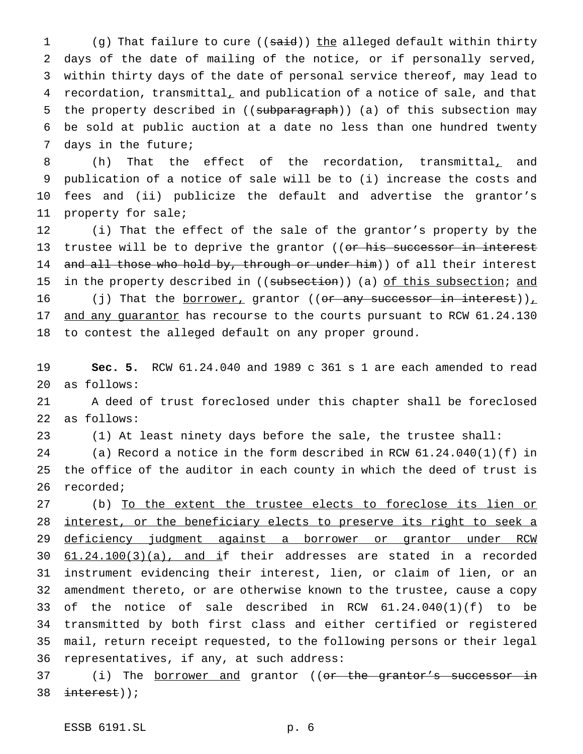1 (g) That failure to cure ((said)) the alleged default within thirty days of the date of mailing of the notice, or if personally served, within thirty days of the date of personal service thereof, may lead to 4 recordation, transmittal, and publication of a notice of sale, and that 5 the property described in ((subparagraph)) (a) of this subsection may be sold at public auction at a date no less than one hundred twenty days in the future;

8 (h) That the effect of the recordation, transmittal, and publication of a notice of sale will be to (i) increase the costs and fees and (ii) publicize the default and advertise the grantor's property for sale;

 (i) That the effect of the sale of the grantor's property by the 13 trustee will be to deprive the grantor ((or his successor in interest 14 and all those who hold by, through or under him)) of all their interest 15 in the property described in ((subsection)) (a) of this subsection; and 16 (j) That the <u>borrower,</u> grantor ((<del>or any successor in interest</del>)), 17 and any guarantor has recourse to the courts pursuant to RCW 61.24.130 to contest the alleged default on any proper ground.

 **Sec. 5.** RCW 61.24.040 and 1989 c 361 s 1 are each amended to read as follows:

 A deed of trust foreclosed under this chapter shall be foreclosed as follows:

(1) At least ninety days before the sale, the trustee shall:

 (a) Record a notice in the form described in RCW 61.24.040(1)(f) in the office of the auditor in each county in which the deed of trust is recorded;

 (b) To the extent the trustee elects to foreclose its lien or 28 interest, or the beneficiary elects to preserve its right to seek a deficiency judgment against a borrower or grantor under RCW  $61.24.100(3)(a)$ , and if their addresses are stated in a recorded instrument evidencing their interest, lien, or claim of lien, or an amendment thereto, or are otherwise known to the trustee, cause a copy of the notice of sale described in RCW 61.24.040(1)(f) to be transmitted by both first class and either certified or registered mail, return receipt requested, to the following persons or their legal representatives, if any, at such address:

37 (i) The <u>borrower and</u> grantor ((<del>or the grantor's successor in</del>  $\frac{interest}{s}$ );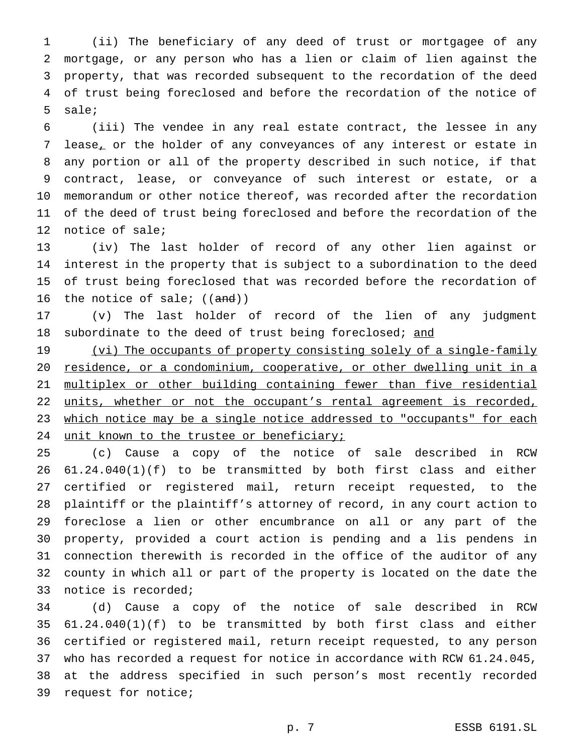(ii) The beneficiary of any deed of trust or mortgagee of any mortgage, or any person who has a lien or claim of lien against the property, that was recorded subsequent to the recordation of the deed of trust being foreclosed and before the recordation of the notice of sale;

 (iii) The vendee in any real estate contract, the lessee in any lease, or the holder of any conveyances of any interest or estate in any portion or all of the property described in such notice, if that contract, lease, or conveyance of such interest or estate, or a memorandum or other notice thereof, was recorded after the recordation of the deed of trust being foreclosed and before the recordation of the notice of sale;

 (iv) The last holder of record of any other lien against or interest in the property that is subject to a subordination to the deed of trust being foreclosed that was recorded before the recordation of 16 the notice of sale;  $((and))$ 

 (v) The last holder of record of the lien of any judgment 18 subordinate to the deed of trust being foreclosed; and

19 (vi) The occupants of property consisting solely of a single-family residence, or a condominium, cooperative, or other dwelling unit in a multiplex or other building containing fewer than five residential 22 units, whether or not the occupant's rental agreement is recorded, 23 which notice may be a single notice addressed to "occupants" for each 24 unit known to the trustee or beneficiary;

 (c) Cause a copy of the notice of sale described in RCW 61.24.040(1)(f) to be transmitted by both first class and either certified or registered mail, return receipt requested, to the plaintiff or the plaintiff's attorney of record, in any court action to foreclose a lien or other encumbrance on all or any part of the property, provided a court action is pending and a lis pendens in connection therewith is recorded in the office of the auditor of any county in which all or part of the property is located on the date the notice is recorded;

 (d) Cause a copy of the notice of sale described in RCW 61.24.040(1)(f) to be transmitted by both first class and either certified or registered mail, return receipt requested, to any person who has recorded a request for notice in accordance with RCW 61.24.045, at the address specified in such person's most recently recorded request for notice;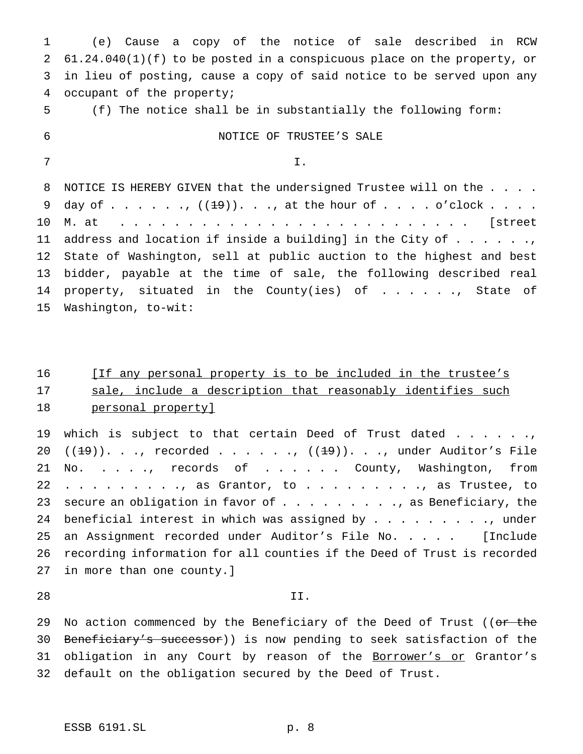(e) Cause a copy of the notice of sale described in RCW 61.24.040(1)(f) to be posted in a conspicuous place on the property, or in lieu of posting, cause a copy of said notice to be served upon any occupant of the property; (f) The notice shall be in substantially the following form: NOTICE OF TRUSTEE'S SALE  $7 \hspace{1.5cm} \text{I.}$ 8 NOTICE IS HEREBY GIVEN that the undersigned Trustee will on the . . . . 9 day of . . . . . ,  $((19))$ . . ., at the hour of . . . . o'clock . . . . M. at . . . . . . . . . . . . . . . . . . . . . . . . . . [street 11 address and location if inside a building] in the City of  $\dots \dots$  State of Washington, sell at public auction to the highest and best bidder, payable at the time of sale, the following described real 14 property, situated in the County(ies) of . . . . ., State of Washington, to-wit:

# 16 [If any personal property is to be included in the trustee's 17 sale, include a description that reasonably identifies such 18 personal property]

19 which is subject to that certain Deed of Trust dated . . . . . ., 20  $((19))$ . . ., recorded . . . . . .,  $((19))$ . . ., under Auditor's File 21 No. . . . ., records of . . . . . County, Washington, from 22 . . . . . . . . ., as Grantor, to . . . . . . . . ., as Trustee, to 23 secure an obligation in favor of  $\ldots$  . . . . . . . , as Beneficiary, the 24 beneficial interest in which was assigned by . . . . . . . . . . under 25 an Assignment recorded under Auditor's File No. .... [Include 26 recording information for all counties if the Deed of Trust is recorded 27 in more than one county.]

#### 28 II.

29 No action commenced by the Beneficiary of the Deed of Trust ((or the 30 Beneficiary's successor)) is now pending to seek satisfaction of the 31 obligation in any Court by reason of the Borrower's or Grantor's 32 default on the obligation secured by the Deed of Trust.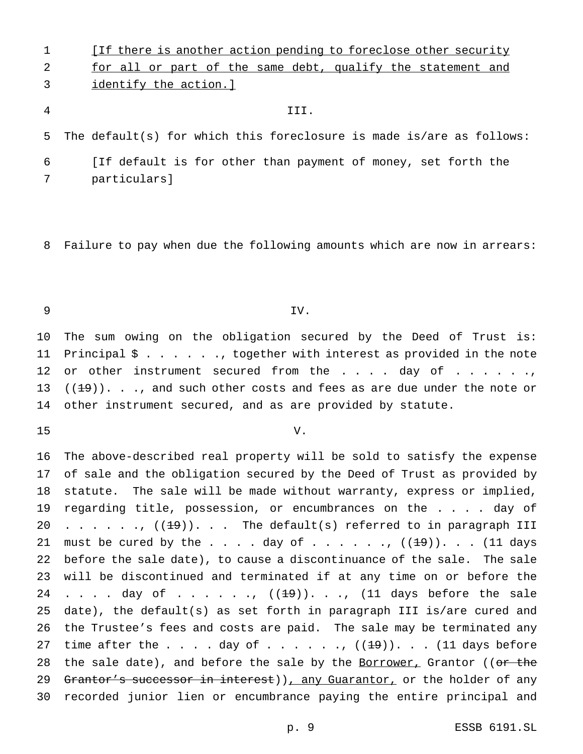**If there is another action pending to foreclose other security** 2 for all or part of the same debt, qualify the statement and identify the action.]

#### III.

The default(s) for which this foreclosure is made is/are as follows:

 [If default is for other than payment of money, set forth the particulars]

Failure to pay when due the following amounts which are now in arrears:

### IV.

 The sum owing on the obligation secured by the Deed of Trust is: Principal \$ . . . . . ., together with interest as provided in the note 12 or other instrument secured from the  $\ldots$  . . day of  $\ldots$  . . . .,  $((1-9))$ . . ., and such other costs and fees as are due under the note or other instrument secured, and as are provided by statute.

- 
- V.

 The above-described real property will be sold to satisfy the expense of sale and the obligation secured by the Deed of Trust as provided by statute. The sale will be made without warranty, express or implied, regarding title, possession, or encumbrances on the . . . . day of 20 . . . . . .,  $((19))$ . . . The default(s) referred to in paragraph III 21 must be cured by the . . . . day of . . . . . .  $((19))$ . . . (11 days before the sale date), to cause a discontinuance of the sale. The sale will be discontinued and terminated if at any time on or before the 24 . . . . day of . . . . . .,  $((19))$ . . .,  $(11)$  days before the sale date), the default(s) as set forth in paragraph III is/are cured and the Trustee's fees and costs are paid. The sale may be terminated any 27 time after the  $\ldots$  . day of  $\ldots$  . . . .,  $((19))$ . . . (11 days before 28 the sale date), and before the sale by the Borrower, Grantor ((or the 29 Grantor's successor in interest)), any Guarantor, or the holder of any recorded junior lien or encumbrance paying the entire principal and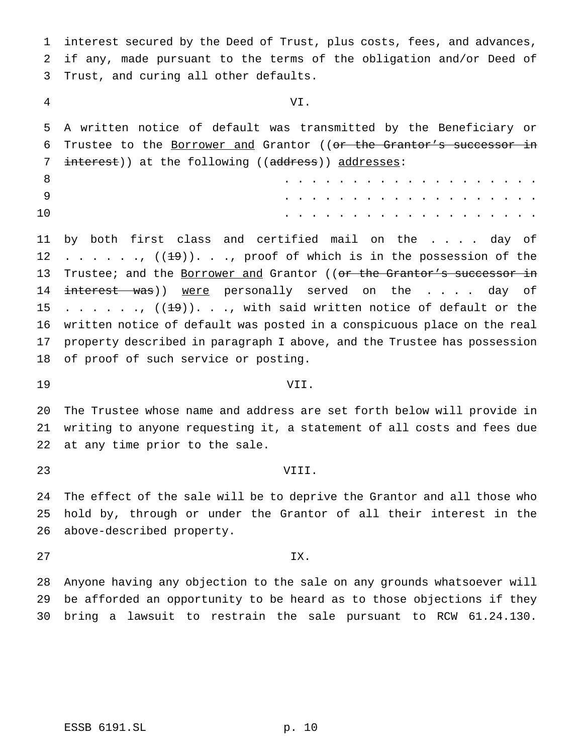interest secured by the Deed of Trust, plus costs, fees, and advances, if any, made pursuant to the terms of the obligation and/or Deed of Trust, and curing all other defaults.

VI.

 A written notice of default was transmitted by the Beneficiary or 6 Trustee to the Borrower and Grantor ((or the Grantor's successor in 7 interest)) at the following ((address)) addresses:

|    |  |  |  |  |  |  |  | . |  |  |
|----|--|--|--|--|--|--|--|---|--|--|
|    |  |  |  |  |  |  |  | . |  |  |
| 10 |  |  |  |  |  |  |  | . |  |  |

 by both first class and certified mail on the . . . . day of 12 . . . . . .,  $((19))$ . . ., proof of which is in the possession of the 13 Trustee; and the Borrower and Grantor ((or the Grantor's successor in 14 interest was)) were personally served on the . . . . day of 15 . . . . . .,  $((1\frac{19}{})\cdot \cdot \cdot \cdot)$  with said written notice of default or the written notice of default was posted in a conspicuous place on the real property described in paragraph I above, and the Trustee has possession of proof of such service or posting.

## VII.

 The Trustee whose name and address are set forth below will provide in writing to anyone requesting it, a statement of all costs and fees due at any time prior to the sale.

## VIII.

 The effect of the sale will be to deprive the Grantor and all those who hold by, through or under the Grantor of all their interest in the above-described property.

IX.

 Anyone having any objection to the sale on any grounds whatsoever will be afforded an opportunity to be heard as to those objections if they bring a lawsuit to restrain the sale pursuant to RCW 61.24.130.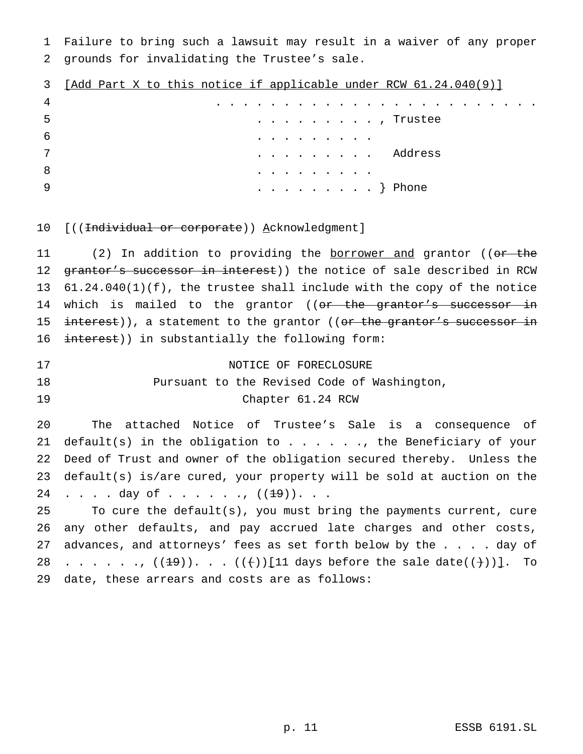1 Failure to bring such a lawsuit may result in a waiver of any proper 2 grounds for invalidating the Trustee's sale.

| 3  | [Add Part X to this notice if applicable under RCW 61.24.040(9)] |  |  |  |  |  |  |  |                                                |  |  |                       |  |  |  |  |
|----|------------------------------------------------------------------|--|--|--|--|--|--|--|------------------------------------------------|--|--|-----------------------|--|--|--|--|
| 4  |                                                                  |  |  |  |  |  |  |  |                                                |  |  |                       |  |  |  |  |
| -5 |                                                                  |  |  |  |  |  |  |  |                                                |  |  | . Trustee             |  |  |  |  |
| -6 |                                                                  |  |  |  |  |  |  |  | . ]                                            |  |  |                       |  |  |  |  |
| 7  |                                                                  |  |  |  |  |  |  |  |                                                |  |  | $\cdots$ $\}$ Address |  |  |  |  |
| 8  |                                                                  |  |  |  |  |  |  |  | . ]                                            |  |  |                       |  |  |  |  |
| -9 |                                                                  |  |  |  |  |  |  |  | $\cdots$ $\cdots$ $\cdots$ $\cdots$ $\}$ Phone |  |  |                       |  |  |  |  |

10 [((<del>Individual or corporate</del>)) Acknowledgment]

11 (2) In addition to providing the **borrower and** grantor ((or the 12 grantor's successor in interest)) the notice of sale described in RCW 13 61.24.040(1)(f), the trustee shall include with the copy of the notice 14 which is mailed to the grantor ((or the grantor's successor in 15 interest)), a statement to the grantor ((or the grantor's successor in 16 interest)) in substantially the following form:

17 NOTICE OF FORECLOSURE 18 Pursuant to the Revised Code of Washington, 19 Chapter 61.24 RCW

20 The attached Notice of Trustee's Sale is a consequence of 21 default(s) in the obligation to  $\ldots$  . . . ., the Beneficiary of your 22 Deed of Trust and owner of the obligation secured thereby. Unless the 23 default(s) is/are cured, your property will be sold at auction on the 24 . . . . day of . . . . . .,  $((1+9))$ . . .

25 To cure the default(s), you must bring the payments current, cure 26 any other defaults, and pay accrued late charges and other costs, 27 advances, and attorneys' fees as set forth below by the . . . . day of 28 . . . . . .,  $((19))$ . . .  $((+)$  [11 days before the sale date((+))]. To 29 date, these arrears and costs are as follows: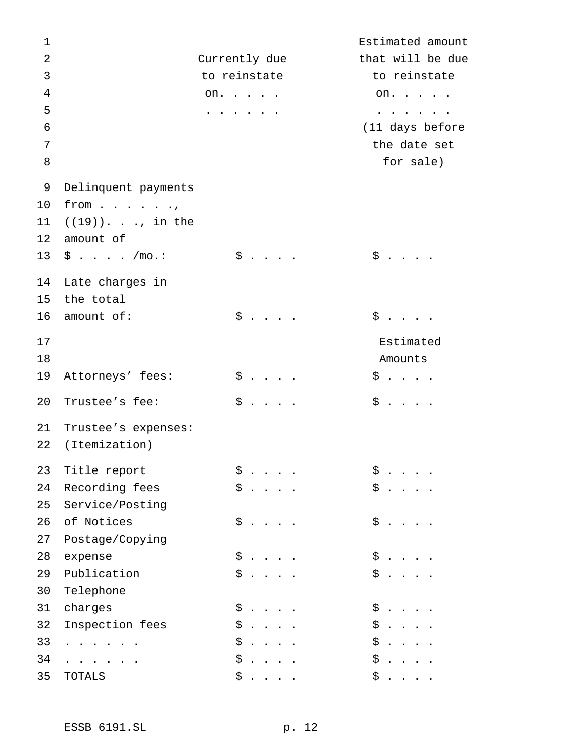| $\mathbf 1$    |                                 |                                  |                             |                                                           |  |    |                             |                                                                                                                                     | Estimated amount |
|----------------|---------------------------------|----------------------------------|-----------------------------|-----------------------------------------------------------|--|----|-----------------------------|-------------------------------------------------------------------------------------------------------------------------------------|------------------|
| $\overline{2}$ |                                 | Currently due                    |                             |                                                           |  |    |                             |                                                                                                                                     | that will be due |
| 3              |                                 | to reinstate                     |                             |                                                           |  |    |                             | to reinstate                                                                                                                        |                  |
| $\overline{4}$ |                                 | on.                              |                             |                                                           |  |    |                             | on.                                                                                                                                 |                  |
| 5              |                                 | $\sim$ , and $\sim$ , and $\sim$ |                             |                                                           |  |    |                             | $\begin{array}{cccccccccccccc} \bullet & \bullet & \bullet & \bullet & \bullet & \bullet & \bullet & \bullet & \bullet \end{array}$ |                  |
| $\epsilon$     |                                 |                                  |                             |                                                           |  |    |                             |                                                                                                                                     | (11 days before  |
| 7              |                                 |                                  |                             |                                                           |  |    |                             | the date set                                                                                                                        |                  |
| 8              |                                 |                                  |                             |                                                           |  |    |                             | for sale)                                                                                                                           |                  |
| 9              | Delinquent payments             |                                  |                             |                                                           |  |    |                             |                                                                                                                                     |                  |
| 10             | from $\ldots$ $\ldots$ $\ldots$ |                                  |                             |                                                           |  |    |                             |                                                                                                                                     |                  |
| 11             | $((19))$ ., in the              |                                  |                             |                                                           |  |    |                             |                                                                                                                                     |                  |
| $12 \,$        | amount of                       |                                  |                             |                                                           |  |    |                             |                                                                                                                                     |                  |
| 13             | \$ /mo. :                       |                                  | $\ddot{\S}$                 |                                                           |  |    | $\ddot{\S}$                 |                                                                                                                                     |                  |
| 14             | Late charges in                 |                                  |                             |                                                           |  |    |                             |                                                                                                                                     |                  |
| 15             | the total                       |                                  |                             |                                                           |  |    |                             |                                                                                                                                     |                  |
| 16             | amount of:                      |                                  | $$ \cdot \cdot \cdot \cdot$ |                                                           |  |    | $\ddot{\S}$                 |                                                                                                                                     |                  |
| 17             |                                 |                                  |                             |                                                           |  |    |                             | Estimated                                                                                                                           |                  |
| 18             |                                 |                                  |                             |                                                           |  |    | Amounts                     |                                                                                                                                     |                  |
| 19             | Attorneys' fees:                |                                  | $$ \cdot \cdot \cdot \cdot$ |                                                           |  |    | $$ \cdot \cdot \cdot \cdot$ |                                                                                                                                     |                  |
| 20             | Trustee's fee:                  | \$                               |                             | $\mathcal{L}^{\text{max}}$ , $\mathcal{L}^{\text{max}}$ , |  |    | $$ \cdot \cdot \cdot \cdot$ |                                                                                                                                     |                  |
| 21             | Trustee's expenses:             |                                  |                             |                                                           |  |    |                             |                                                                                                                                     |                  |
| 22             | (Itemization)                   |                                  |                             |                                                           |  |    |                             |                                                                                                                                     |                  |
| 23             | Title report                    | \$                               |                             |                                                           |  | \$ |                             |                                                                                                                                     |                  |
| 24             | Recording fees                  | \$                               |                             |                                                           |  | \$ |                             |                                                                                                                                     |                  |
| 25             | Service/Posting                 |                                  |                             |                                                           |  |    |                             |                                                                                                                                     |                  |
| 26             | of Notices                      | \$                               |                             |                                                           |  | \$ |                             |                                                                                                                                     |                  |
| 27             | Postage/Copying                 |                                  |                             |                                                           |  |    |                             |                                                                                                                                     |                  |
| 28             | expense                         | \$                               |                             |                                                           |  | \$ |                             |                                                                                                                                     |                  |
| 29             | Publication                     | \$                               |                             |                                                           |  | \$ |                             |                                                                                                                                     |                  |
| 30             | Telephone                       |                                  |                             |                                                           |  |    |                             |                                                                                                                                     |                  |
| 31             | charges                         | \$                               |                             |                                                           |  | \$ |                             |                                                                                                                                     |                  |
| 32             | Inspection fees                 | \$                               |                             |                                                           |  | \$ |                             |                                                                                                                                     |                  |
| 33             | $\cdots$                        | \$                               |                             |                                                           |  | \$ |                             |                                                                                                                                     |                  |
| 34             |                                 | \$                               |                             |                                                           |  | \$ |                             |                                                                                                                                     |                  |
| 35             | TOTALS                          | \$                               |                             |                                                           |  | \$ |                             |                                                                                                                                     |                  |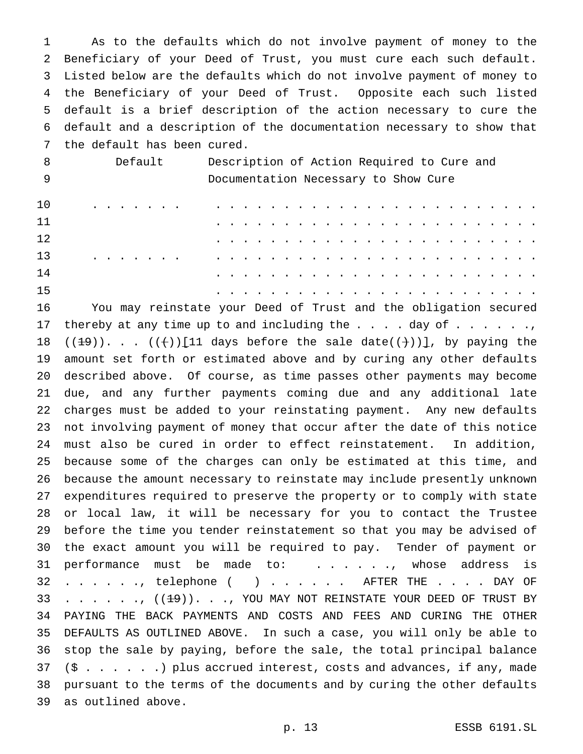As to the defaults which do not involve payment of money to the Beneficiary of your Deed of Trust, you must cure each such default. Listed below are the defaults which do not involve payment of money to the Beneficiary of your Deed of Trust. Opposite each such listed default is a brief description of the action necessary to cure the default and a description of the documentation necessary to show that the default has been cured.

| 8   | Default                                                 | Description of Action Required to Cure and                                                                                                                                                                                                                                                                 |
|-----|---------------------------------------------------------|------------------------------------------------------------------------------------------------------------------------------------------------------------------------------------------------------------------------------------------------------------------------------------------------------------|
| - 9 |                                                         | Documentation Necessary to Show Cure                                                                                                                                                                                                                                                                       |
| 10  | $\cdot$ $\cdot$ $\cdot$ $\cdot$ $\cdot$ $\cdot$ $\cdot$ |                                                                                                                                                                                                                                                                                                            |
| 11  |                                                         | $\mathbf{r} = \mathbf{r} - \mathbf{r} - \mathbf{r} - \mathbf{r} - \mathbf{r} - \mathbf{r} - \mathbf{r} - \mathbf{r} - \mathbf{r} - \mathbf{r} - \mathbf{r} - \mathbf{r} - \mathbf{r} - \mathbf{r} - \mathbf{r} - \mathbf{r} - \mathbf{r} - \mathbf{r} - \mathbf{r} - \mathbf{r} - \mathbf{r} - \mathbf{r}$ |
| 12  |                                                         |                                                                                                                                                                                                                                                                                                            |
| 13  |                                                         | $\cdots$<br>$\sim$ $\sim$ $\sim$ $\sim$ $\sim$                                                                                                                                                                                                                                                             |
| 14  |                                                         |                                                                                                                                                                                                                                                                                                            |
| 15  |                                                         | . The contract of the contract of the contract of the contract of the contract of the contract of the contract of the contract of the contract of the contract of the contract of the contract of the contract of the contrac                                                                              |

 You may reinstate your Deed of Trust and the obligation secured 17 thereby at any time up to and including the  $\ldots$  . day of  $\ldots$  . . . ., 18 ( $(\pm 9)$ )...  $( (\dagger) )$  [11 days before the sale date( $(\dagger)$ )], by paying the amount set forth or estimated above and by curing any other defaults described above. Of course, as time passes other payments may become due, and any further payments coming due and any additional late charges must be added to your reinstating payment. Any new defaults not involving payment of money that occur after the date of this notice must also be cured in order to effect reinstatement. In addition, because some of the charges can only be estimated at this time, and because the amount necessary to reinstate may include presently unknown expenditures required to preserve the property or to comply with state or local law, it will be necessary for you to contact the Trustee before the time you tender reinstatement so that you may be advised of the exact amount you will be required to pay. Tender of payment or 31 performance must be made to: . . . . . , whose address is 32 . . . . . , telephone ( ) . . . . . AFTER THE . . . . DAY OF 33 . . . . . .  $(19)$ . . ., YOU MAY NOT REINSTATE YOUR DEED OF TRUST BY PAYING THE BACK PAYMENTS AND COSTS AND FEES AND CURING THE OTHER DEFAULTS AS OUTLINED ABOVE. In such a case, you will only be able to stop the sale by paying, before the sale, the total principal balance (\$ . . . . . .) plus accrued interest, costs and advances, if any, made pursuant to the terms of the documents and by curing the other defaults as outlined above.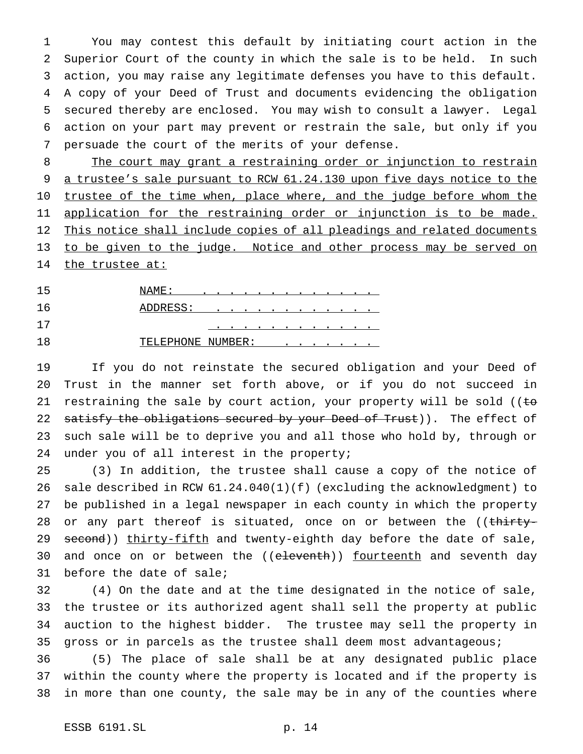You may contest this default by initiating court action in the Superior Court of the county in which the sale is to be held. In such action, you may raise any legitimate defenses you have to this default. A copy of your Deed of Trust and documents evidencing the obligation secured thereby are enclosed. You may wish to consult a lawyer. Legal action on your part may prevent or restrain the sale, but only if you persuade the court of the merits of your defense.

8 The court may grant a restraining order or injunction to restrain 9 a trustee's sale pursuant to RCW 61.24.130 upon five days notice to the 10 trustee of the time when, place where, and the judge before whom the 11 application for the restraining order or injunction is to be made. 12 This notice shall include copies of all pleadings and related documents to be given to the judge. Notice and other process may be served on 14 the trustee at:

 NAME: ............. ADDRESS: ............ ............ 18 TELEPHONE NUMBER: . . .

 If you do not reinstate the secured obligation and your Deed of Trust in the manner set forth above, or if you do not succeed in 21 restraining the sale by court action, your property will be sold (( $t\sigma$ 22 satisfy the obligations secured by your Deed of Trust)). The effect of such sale will be to deprive you and all those who hold by, through or 24 under you of all interest in the property;

 (3) In addition, the trustee shall cause a copy of the notice of sale described in RCW 61.24.040(1)(f) (excluding the acknowledgment) to be published in a legal newspaper in each county in which the property 28 or any part thereof is situated, once on or between the ((thirty-29 second)) thirty-fifth and twenty-eighth day before the date of sale, 30 and once on or between the ((eleventh)) fourteenth and seventh day before the date of sale;

 (4) On the date and at the time designated in the notice of sale, the trustee or its authorized agent shall sell the property at public auction to the highest bidder. The trustee may sell the property in gross or in parcels as the trustee shall deem most advantageous;

 (5) The place of sale shall be at any designated public place within the county where the property is located and if the property is in more than one county, the sale may be in any of the counties where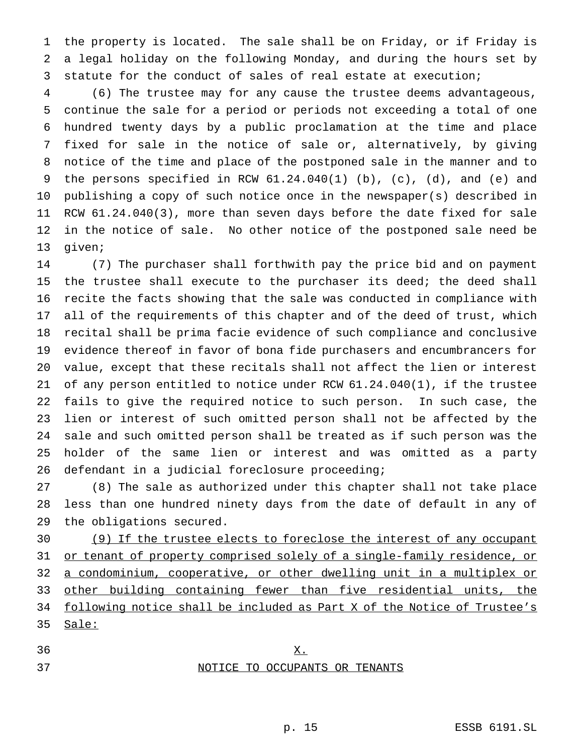the property is located. The sale shall be on Friday, or if Friday is a legal holiday on the following Monday, and during the hours set by statute for the conduct of sales of real estate at execution;

 (6) The trustee may for any cause the trustee deems advantageous, continue the sale for a period or periods not exceeding a total of one hundred twenty days by a public proclamation at the time and place fixed for sale in the notice of sale or, alternatively, by giving notice of the time and place of the postponed sale in the manner and to the persons specified in RCW 61.24.040(1) (b), (c), (d), and (e) and publishing a copy of such notice once in the newspaper(s) described in RCW 61.24.040(3), more than seven days before the date fixed for sale in the notice of sale. No other notice of the postponed sale need be given;

 (7) The purchaser shall forthwith pay the price bid and on payment the trustee shall execute to the purchaser its deed; the deed shall recite the facts showing that the sale was conducted in compliance with all of the requirements of this chapter and of the deed of trust, which recital shall be prima facie evidence of such compliance and conclusive evidence thereof in favor of bona fide purchasers and encumbrancers for value, except that these recitals shall not affect the lien or interest of any person entitled to notice under RCW 61.24.040(1), if the trustee fails to give the required notice to such person. In such case, the lien or interest of such omitted person shall not be affected by the sale and such omitted person shall be treated as if such person was the holder of the same lien or interest and was omitted as a party defendant in a judicial foreclosure proceeding;

 (8) The sale as authorized under this chapter shall not take place less than one hundred ninety days from the date of default in any of the obligations secured.

 (9) If the trustee elects to foreclose the interest of any occupant 31 or tenant of property comprised solely of a single-family residence, or a condominium, cooperative, or other dwelling unit in a multiplex or other building containing fewer than five residential units, the following notice shall be included as Part X of the Notice of Trustee's Sale:

## X. NOTICE TO OCCUPANTS OR TENANTS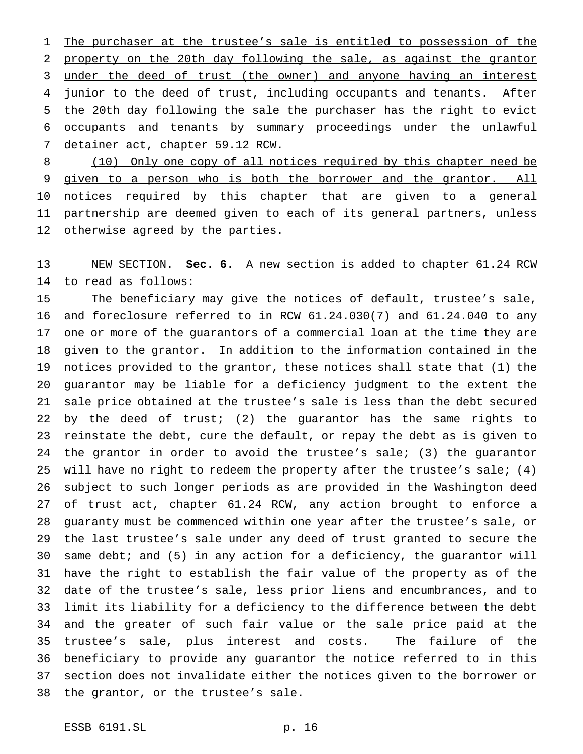1 The purchaser at the trustee's sale is entitled to possession of the property on the 20th day following the sale, as against the grantor under the deed of trust (the owner) and anyone having an interest 4 junior to the deed of trust, including occupants and tenants. After the 20th day following the sale the purchaser has the right to evict occupants and tenants by summary proceedings under the unlawful detainer act, chapter 59.12 RCW.

8 (10) Only one copy of all notices required by this chapter need be 9 given to a person who is both the borrower and the grantor. All 10 notices required by this chapter that are given to a general partnership are deemed given to each of its general partners, unless 12 otherwise agreed by the parties.

 NEW SECTION. **Sec. 6.** A new section is added to chapter 61.24 RCW to read as follows:

 The beneficiary may give the notices of default, trustee's sale, and foreclosure referred to in RCW 61.24.030(7) and 61.24.040 to any one or more of the guarantors of a commercial loan at the time they are given to the grantor. In addition to the information contained in the notices provided to the grantor, these notices shall state that (1) the guarantor may be liable for a deficiency judgment to the extent the sale price obtained at the trustee's sale is less than the debt secured by the deed of trust; (2) the guarantor has the same rights to reinstate the debt, cure the default, or repay the debt as is given to the grantor in order to avoid the trustee's sale; (3) the guarantor will have no right to redeem the property after the trustee's sale; (4) subject to such longer periods as are provided in the Washington deed of trust act, chapter 61.24 RCW, any action brought to enforce a guaranty must be commenced within one year after the trustee's sale, or the last trustee's sale under any deed of trust granted to secure the same debt; and (5) in any action for a deficiency, the guarantor will have the right to establish the fair value of the property as of the date of the trustee's sale, less prior liens and encumbrances, and to limit its liability for a deficiency to the difference between the debt and the greater of such fair value or the sale price paid at the trustee's sale, plus interest and costs. The failure of the beneficiary to provide any guarantor the notice referred to in this section does not invalidate either the notices given to the borrower or the grantor, or the trustee's sale.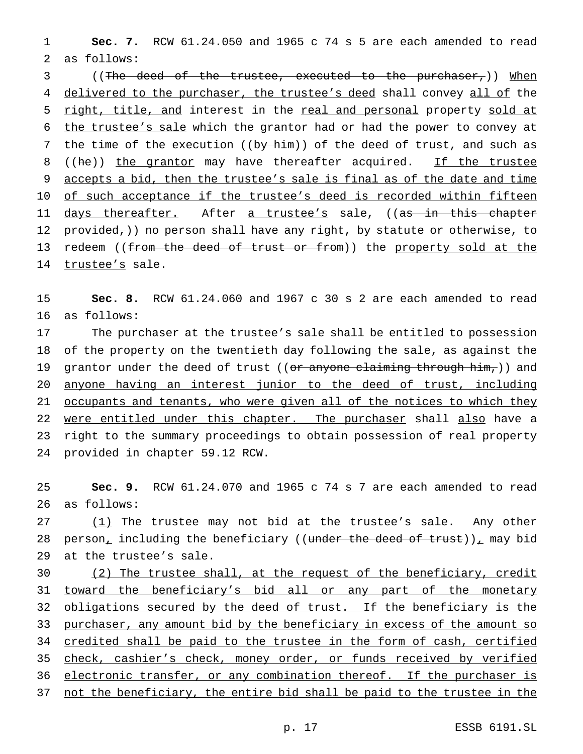1 **Sec. 7.** RCW 61.24.050 and 1965 c 74 s 5 are each amended to read 2 as follows:

3 ((The deed of the trustee, executed to the purchaser,)) When 4 delivered to the purchaser, the trustee's deed shall convey all of the 5 right, title, and interest in the real and personal property sold at 6 the trustee's sale which the grantor had or had the power to convey at 7 the time of the execution ( $(by - h + m)$ ) of the deed of trust, and such as 8 ((he)) the grantor may have thereafter acquired. If the trustee 9 accepts a bid, then the trustee's sale is final as of the date and time 10 of such acceptance if the trustee's deed is recorded within fifteen 11 <u>days thereafter.</u> After <u>a trustee's</u> sale, ((<del>as in this chapter</del> 12  $peroted$ ,) no person shall have any right, by statute or otherwise, to 13 redeem ((from the deed of trust or from)) the property sold at the 14 trustee's sale.

15 **Sec. 8.** RCW 61.24.060 and 1967 c 30 s 2 are each amended to read 16 as follows:

 The purchaser at the trustee's sale shall be entitled to possession of the property on the twentieth day following the sale, as against the 19 grantor under the deed of trust ((or anyone claiming through him,)) and anyone having an interest junior to the deed of trust, including 21 occupants and tenants, who were given all of the notices to which they 22 were entitled under this chapter. The purchaser shall also have a right to the summary proceedings to obtain possession of real property provided in chapter 59.12 RCW.

25 **Sec. 9.** RCW 61.24.070 and 1965 c 74 s 7 are each amended to read 26 as follows:

27 (1) The trustee may not bid at the trustee's sale. Any other 28 person<sub>t</sub> including the beneficiary ((under the deed of trust))<sub> $\mu$ </sub> may bid 29 at the trustee's sale.

30 (2) The trustee shall, at the request of the beneficiary, credit 31 toward the beneficiary's bid all or any part of the monetary 32 obligations secured by the deed of trust. If the beneficiary is the 33 purchaser, any amount bid by the beneficiary in excess of the amount so 34 credited shall be paid to the trustee in the form of cash, certified 35 check, cashier's check, money order, or funds received by verified 36 electronic transfer, or any combination thereof. If the purchaser is 37 not the beneficiary, the entire bid shall be paid to the trustee in the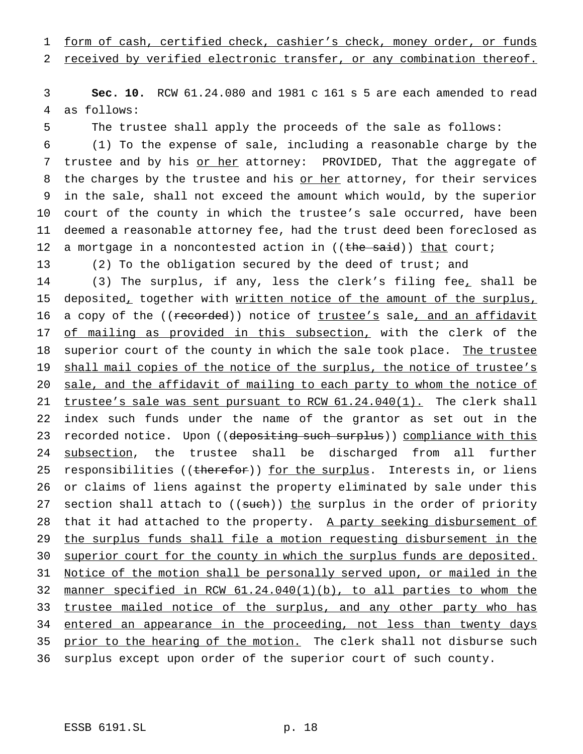1 form of cash, certified check, cashier's check, money order, or funds

2 received by verified electronic transfer, or any combination thereof.

3 **Sec. 10.** RCW 61.24.080 and 1981 c 161 s 5 are each amended to read 4 as follows:

5 The trustee shall apply the proceeds of the sale as follows:

6 (1) To the expense of sale, including a reasonable charge by the 7 trustee and by his or her attorney: PROVIDED, That the aggregate of 8 the charges by the trustee and his or her attorney, for their services 9 in the sale, shall not exceed the amount which would, by the superior 10 court of the county in which the trustee's sale occurred, have been 11 deemed a reasonable attorney fee, had the trust deed been foreclosed as 12 a mortgage in a noncontested action in  $((the **wait**))$  that court;

13 (2) To the obligation secured by the deed of trust; and

14 (3) The surplus, if any, less the clerk's filing fee, shall be 15 deposited, together with written notice of the amount of the surplus, 16 a copy of the ((recorded)) notice of trustee's sale, and an affidavit 17 of mailing as provided in this subsection, with the clerk of the 18 superior court of the county in which the sale took place. The trustee 19 shall mail copies of the notice of the surplus, the notice of trustee's 20 sale, and the affidavit of mailing to each party to whom the notice of 21 trustee's sale was sent pursuant to RCW 61.24.040(1). The clerk shall 22 index such funds under the name of the grantor as set out in the 23 recorded notice. Upon ((depositing such surplus)) compliance with this 24 subsection, the trustee shall be discharged from all further 25 responsibilities ((therefor)) for the surplus. Interests in, or liens 26 or claims of liens against the property eliminated by sale under this 27 section shall attach to ((such)) the surplus in the order of priority 28 that it had attached to the property. A party seeking disbursement of 29 the surplus funds shall file a motion requesting disbursement in the 30 superior court for the county in which the surplus funds are deposited. 31 Notice of the motion shall be personally served upon, or mailed in the 32 manner specified in RCW 61.24.040(1)(b), to all parties to whom the 33 trustee mailed notice of the surplus, and any other party who has 34 entered an appearance in the proceeding, not less than twenty days 35 prior to the hearing of the motion. The clerk shall not disburse such 36 surplus except upon order of the superior court of such county.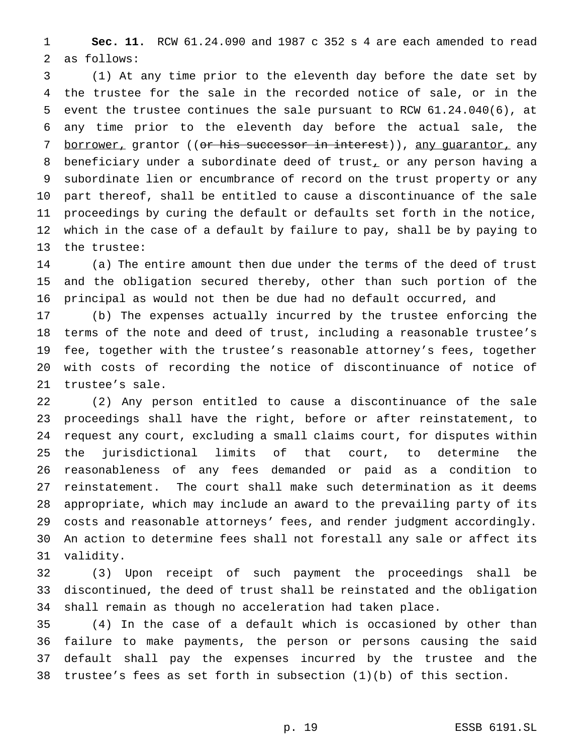**Sec. 11.** RCW 61.24.090 and 1987 c 352 s 4 are each amended to read as follows:

 (1) At any time prior to the eleventh day before the date set by the trustee for the sale in the recorded notice of sale, or in the event the trustee continues the sale pursuant to RCW 61.24.040(6), at any time prior to the eleventh day before the actual sale, the 7 borrower, grantor ((<del>or his successor in interest</del>)), any guarantor, any 8 beneficiary under a subordinate deed of trust, or any person having a subordinate lien or encumbrance of record on the trust property or any part thereof, shall be entitled to cause a discontinuance of the sale proceedings by curing the default or defaults set forth in the notice, which in the case of a default by failure to pay, shall be by paying to the trustee:

 (a) The entire amount then due under the terms of the deed of trust and the obligation secured thereby, other than such portion of the principal as would not then be due had no default occurred, and

 (b) The expenses actually incurred by the trustee enforcing the terms of the note and deed of trust, including a reasonable trustee's fee, together with the trustee's reasonable attorney's fees, together with costs of recording the notice of discontinuance of notice of trustee's sale.

 (2) Any person entitled to cause a discontinuance of the sale proceedings shall have the right, before or after reinstatement, to request any court, excluding a small claims court, for disputes within the jurisdictional limits of that court, to determine the reasonableness of any fees demanded or paid as a condition to reinstatement. The court shall make such determination as it deems appropriate, which may include an award to the prevailing party of its costs and reasonable attorneys' fees, and render judgment accordingly. An action to determine fees shall not forestall any sale or affect its validity.

 (3) Upon receipt of such payment the proceedings shall be discontinued, the deed of trust shall be reinstated and the obligation shall remain as though no acceleration had taken place.

 (4) In the case of a default which is occasioned by other than failure to make payments, the person or persons causing the said default shall pay the expenses incurred by the trustee and the trustee's fees as set forth in subsection (1)(b) of this section.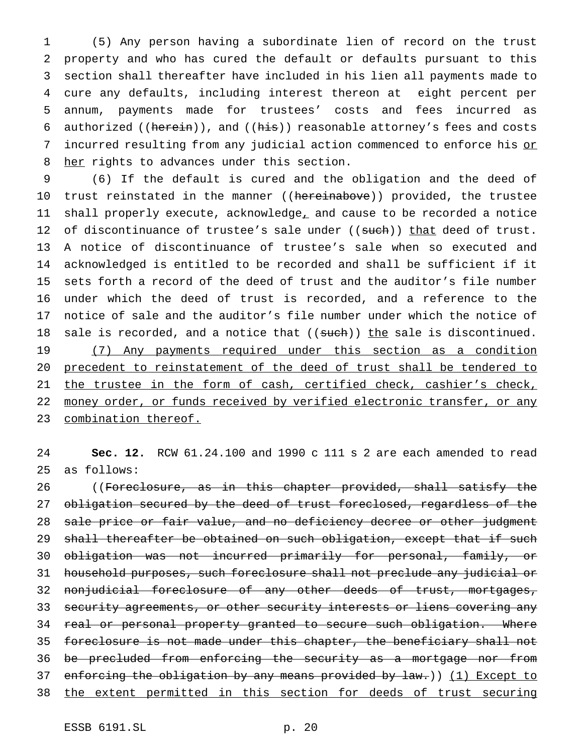(5) Any person having a subordinate lien of record on the trust property and who has cured the default or defaults pursuant to this section shall thereafter have included in his lien all payments made to cure any defaults, including interest thereon at eight percent per annum, payments made for trustees' costs and fees incurred as 6 authorized ((herein)), and ((his)) reasonable attorney's fees and costs 7 incurred resulting from any judicial action commenced to enforce his or 8 her rights to advances under this section.

9 (6) If the default is cured and the obligation and the deed of 10 trust reinstated in the manner ((hereinabove)) provided, the trustee 11 shall properly execute, acknowledge, and cause to be recorded a notice 12 of discontinuance of trustee's sale under ((such)) that deed of trust. 13 A notice of discontinuance of trustee's sale when so executed and 14 acknowledged is entitled to be recorded and shall be sufficient if it 15 sets forth a record of the deed of trust and the auditor's file number 16 under which the deed of trust is recorded, and a reference to the 17 notice of sale and the auditor's file number under which the notice of 18 sale is recorded, and a notice that ((such)) the sale is discontinued. 19 (7) Any payments required under this section as a condition 20 precedent to reinstatement of the deed of trust shall be tendered to 21 the trustee in the form of cash, certified check, cashier's check, 22 money order, or funds received by verified electronic transfer, or any 23 combination thereof.

24 **Sec. 12.** RCW 61.24.100 and 1990 c 111 s 2 are each amended to read 25 as follows:

26 ((Foreclosure, as in this chapter provided, shall satisfy the 27 obligation secured by the deed of trust foreclosed, regardless of the 28 sale price or fair value, and no deficiency decree or other judgment 29 shall thereafter be obtained on such obligation, except that if such 30 obligation was not incurred primarily for personal, family, or 31 household purposes, such foreclosure shall not preclude any judicial or 32 nonjudicial foreclosure of any other deeds of trust, mortgages, 33 security agreements, or other security interests or liens covering any 34 real or personal property granted to secure such obligation. Where 35 foreclosure is not made under this chapter, the beneficiary shall not 36 be precluded from enforcing the security as a mortgage nor from 37 enforcing the obligation by any means provided by law.)) (1) Except to 38 the extent permitted in this section for deeds of trust securing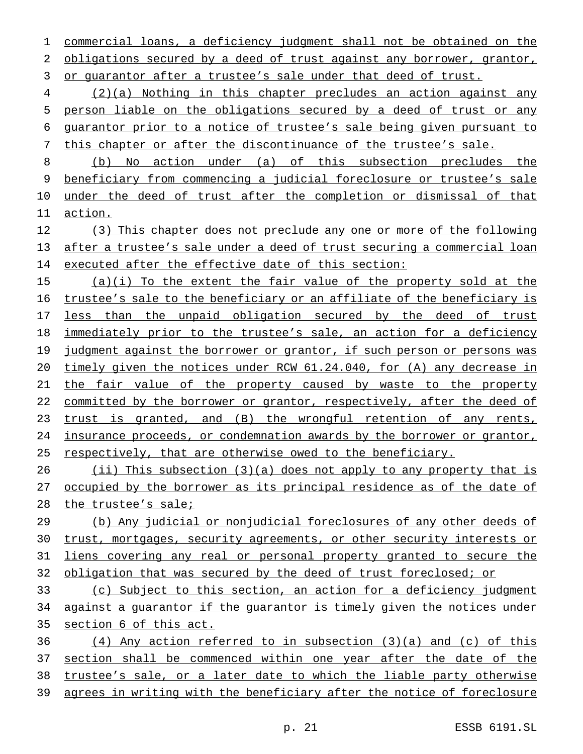commercial loans, a deficiency judgment shall not be obtained on the 2 obligations secured by a deed of trust against any borrower, grantor, or guarantor after a trustee's sale under that deed of trust.

 (2)(a) Nothing in this chapter precludes an action against any person liable on the obligations secured by a deed of trust or any guarantor prior to a notice of trustee's sale being given pursuant to this chapter or after the discontinuance of the trustee's sale.

 (b) No action under (a) of this subsection precludes the beneficiary from commencing a judicial foreclosure or trustee's sale under the deed of trust after the completion or dismissal of that action.

 (3) This chapter does not preclude any one or more of the following after a trustee's sale under a deed of trust securing a commercial loan executed after the effective date of this section:

 (a)(i) To the extent the fair value of the property sold at the trustee's sale to the beneficiary or an affiliate of the beneficiary is 17 less than the unpaid obligation secured by the deed of trust immediately prior to the trustee's sale, an action for a deficiency 19 judgment against the borrower or grantor, if such person or persons was timely given the notices under RCW 61.24.040, for (A) any decrease in the fair value of the property caused by waste to the property 22 committed by the borrower or grantor, respectively, after the deed of trust is granted, and (B) the wrongful retention of any rents, insurance proceeds, or condemnation awards by the borrower or grantor, respectively, that are otherwise owed to the beneficiary.

26 (ii) This subsection (3)(a) does not apply to any property that is 27 occupied by the borrower as its principal residence as of the date of the trustee's sale;

 (b) Any judicial or nonjudicial foreclosures of any other deeds of trust, mortgages, security agreements, or other security interests or liens covering any real or personal property granted to secure the obligation that was secured by the deed of trust foreclosed; or

 (c) Subject to this section, an action for a deficiency judgment against a guarantor if the guarantor is timely given the notices under section 6 of this act.

 $(4)$  Any action referred to in subsection  $(3)(a)$  and  $(c)$  of this 37 section shall be commenced within one year after the date of the trustee's sale, or a later date to which the liable party otherwise agrees in writing with the beneficiary after the notice of foreclosure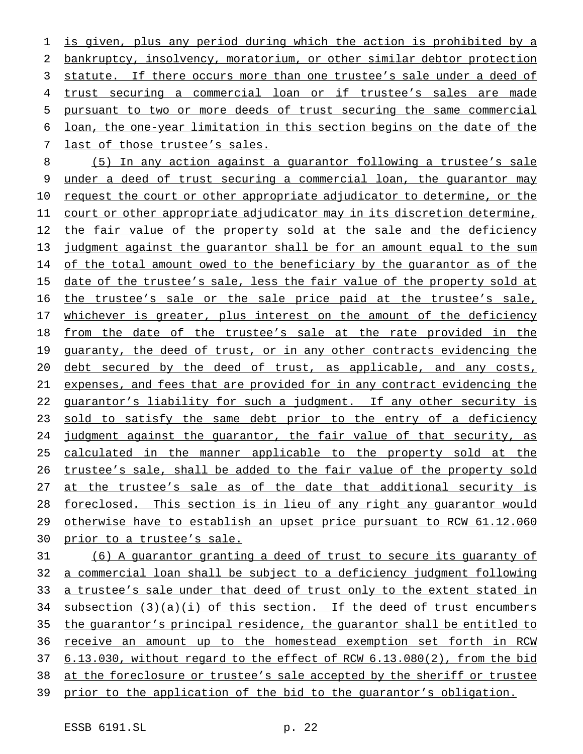is given, plus any period during which the action is prohibited by a bankruptcy, insolvency, moratorium, or other similar debtor protection statute. If there occurs more than one trustee's sale under a deed of trust securing a commercial loan or if trustee's sales are made pursuant to two or more deeds of trust securing the same commercial loan, the one-year limitation in this section begins on the date of the last of those trustee's sales.

 (5) In any action against a guarantor following a trustee's sale under a deed of trust securing a commercial loan, the guarantor may 10 request the court or other appropriate adjudicator to determine, or the court or other appropriate adjudicator may in its discretion determine, 12 the fair value of the property sold at the sale and the deficiency judgment against the guarantor shall be for an amount equal to the sum 14 of the total amount owed to the beneficiary by the quarantor as of the 15 date of the trustee's sale, less the fair value of the property sold at the trustee's sale or the sale price paid at the trustee's sale, 17 whichever is greater, plus interest on the amount of the deficiency from the date of the trustee's sale at the rate provided in the 19 guaranty, the deed of trust, or in any other contracts evidencing the 20 debt secured by the deed of trust, as applicable, and any costs, expenses, and fees that are provided for in any contract evidencing the 22 guarantor's liability for such a judgment. If any other security is 23 sold to satisfy the same debt prior to the entry of a deficiency judgment against the guarantor, the fair value of that security, as calculated in the manner applicable to the property sold at the trustee's sale, shall be added to the fair value of the property sold 27 at the trustee's sale as of the date that additional security is 28 foreclosed. This section is in lieu of any right any guarantor would otherwise have to establish an upset price pursuant to RCW 61.12.060 prior to a trustee's sale.

 (6) A guarantor granting a deed of trust to secure its guaranty of a commercial loan shall be subject to a deficiency judgment following a trustee's sale under that deed of trust only to the extent stated in 34 subsection  $(3)(a)(i)$  of this section. If the deed of trust encumbers the guarantor's principal residence, the guarantor shall be entitled to receive an amount up to the homestead exemption set forth in RCW 6.13.030, without regard to the effect of RCW 6.13.080(2), from the bid at the foreclosure or trustee's sale accepted by the sheriff or trustee prior to the application of the bid to the guarantor's obligation.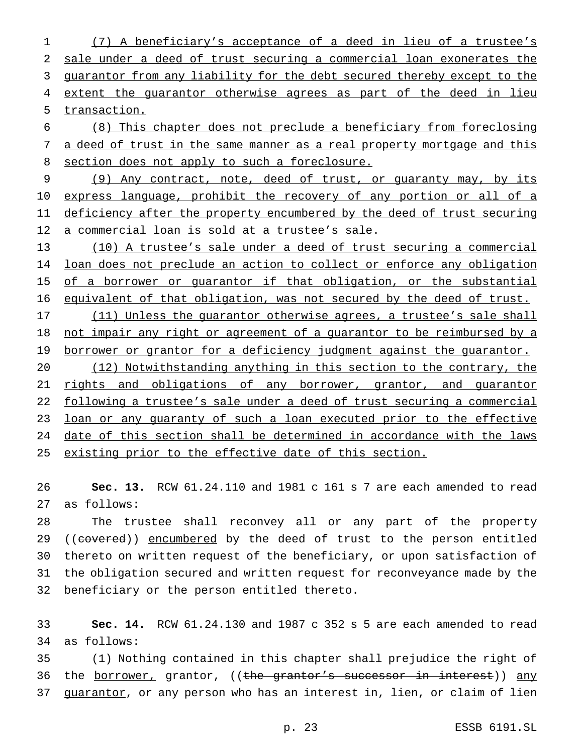(7) A beneficiary's acceptance of a deed in lieu of a trustee's sale under a deed of trust securing a commercial loan exonerates the guarantor from any liability for the debt secured thereby except to the 4 extent the guarantor otherwise agrees as part of the deed in lieu transaction.

 (8) This chapter does not preclude a beneficiary from foreclosing 7 a deed of trust in the same manner as a real property mortgage and this 8 section does not apply to such a foreclosure.

 (9) Any contract, note, deed of trust, or guaranty may, by its 10 express language, prohibit the recovery of any portion or all of a 11 deficiency after the property encumbered by the deed of trust securing a commercial loan is sold at a trustee's sale.

 (10) A trustee's sale under a deed of trust securing a commercial loan does not preclude an action to collect or enforce any obligation 15 of a borrower or guarantor if that obligation, or the substantial equivalent of that obligation, was not secured by the deed of trust.

17 (11) Unless the quarantor otherwise agrees, a trustee's sale shall not impair any right or agreement of a guarantor to be reimbursed by a 19 borrower or grantor for a deficiency judgment against the guarantor.

 (12) Notwithstanding anything in this section to the contrary, the 21 rights and obligations of any borrower, grantor, and guarantor following a trustee's sale under a deed of trust securing a commercial 23 loan or any guaranty of such a loan executed prior to the effective date of this section shall be determined in accordance with the laws existing prior to the effective date of this section.

 **Sec. 13.** RCW 61.24.110 and 1981 c 161 s 7 are each amended to read as follows:

 The trustee shall reconvey all or any part of the property 29 ((covered)) encumbered by the deed of trust to the person entitled thereto on written request of the beneficiary, or upon satisfaction of the obligation secured and written request for reconveyance made by the beneficiary or the person entitled thereto.

 **Sec. 14.** RCW 61.24.130 and 1987 c 352 s 5 are each amended to read as follows:

 (1) Nothing contained in this chapter shall prejudice the right of 36 the <u>borrower,</u> grantor, ((the grantor's successor in interest)) any 37 guarantor, or any person who has an interest in, lien, or claim of lien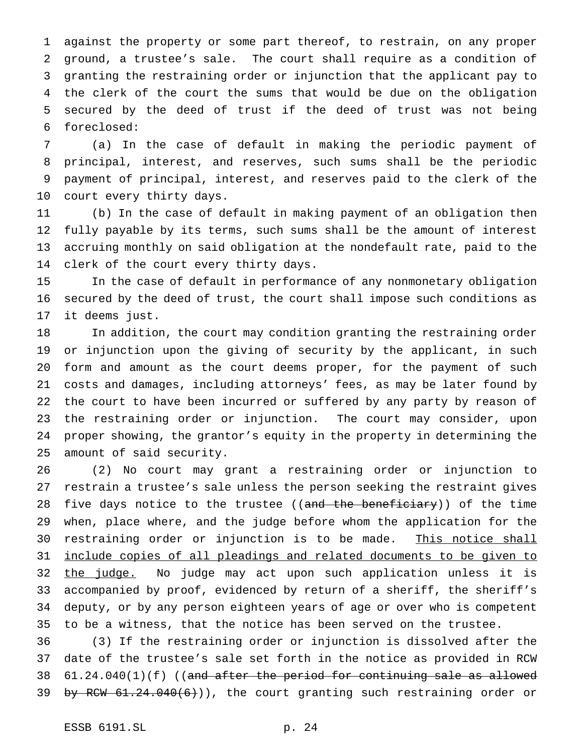against the property or some part thereof, to restrain, on any proper ground, a trustee's sale. The court shall require as a condition of granting the restraining order or injunction that the applicant pay to the clerk of the court the sums that would be due on the obligation secured by the deed of trust if the deed of trust was not being foreclosed:

 (a) In the case of default in making the periodic payment of principal, interest, and reserves, such sums shall be the periodic payment of principal, interest, and reserves paid to the clerk of the court every thirty days.

 (b) In the case of default in making payment of an obligation then fully payable by its terms, such sums shall be the amount of interest accruing monthly on said obligation at the nondefault rate, paid to the clerk of the court every thirty days.

 In the case of default in performance of any nonmonetary obligation secured by the deed of trust, the court shall impose such conditions as it deems just.

 In addition, the court may condition granting the restraining order or injunction upon the giving of security by the applicant, in such form and amount as the court deems proper, for the payment of such costs and damages, including attorneys' fees, as may be later found by the court to have been incurred or suffered by any party by reason of the restraining order or injunction. The court may consider, upon proper showing, the grantor's equity in the property in determining the amount of said security.

 (2) No court may grant a restraining order or injunction to restrain a trustee's sale unless the person seeking the restraint gives 28 five days notice to the trustee ((<del>and the beneficiary</del>)) of the time when, place where, and the judge before whom the application for the 30 restraining order or injunction is to be made. This notice shall include copies of all pleadings and related documents to be given to 32 the judge. No judge may act upon such application unless it is accompanied by proof, evidenced by return of a sheriff, the sheriff's deputy, or by any person eighteen years of age or over who is competent to be a witness, that the notice has been served on the trustee.

 (3) If the restraining order or injunction is dissolved after the date of the trustee's sale set forth in the notice as provided in RCW 61.24.040(1)(f) ((and after the period for continuing sale as allowed 39 by RCW  $61.24.040(6)$ ), the court granting such restraining order or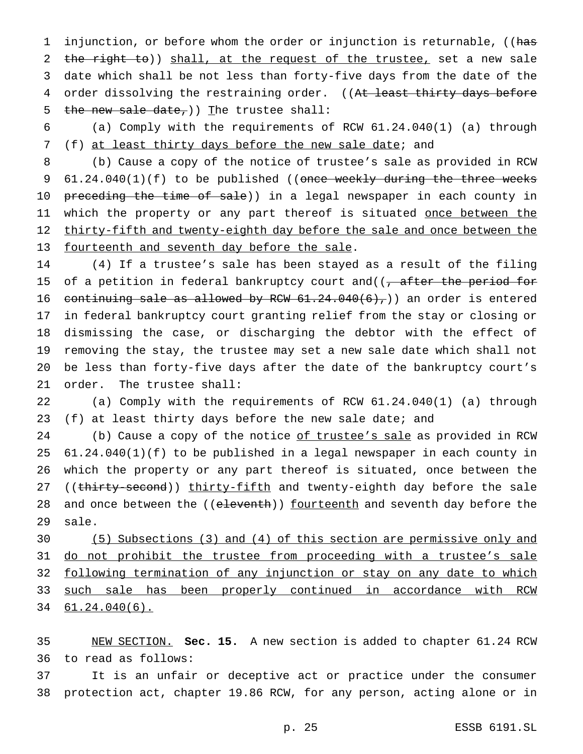1 injunction, or before whom the order or injunction is returnable, ((has 2 the right to)) shall, at the request of the trustee, set a new sale 3 date which shall be not less than forty-five days from the date of the 4 order dissolving the restraining order. ((At least thirty days before 5 the new sale date,  $\int$  The trustee shall:

6 (a) Comply with the requirements of RCW 61.24.040(1) (a) through 7 (f) at least thirty days before the new sale date; and

8 (b) Cause a copy of the notice of trustee's sale as provided in RCW 9 61.24.040(1)(f) to be published ((once weekly during the three weeks 10 preceding the time of sale)) in a legal newspaper in each county in 11 which the property or any part thereof is situated <u>once between the</u> 12 thirty-fifth and twenty-eighth day before the sale and once between the 13 fourteenth and seventh day before the sale.

 (4) If a trustee's sale has been stayed as a result of the filing 15 of a petition in federal bankruptcy court and( $(-a$  after the period for 16 continuing sale as allowed by RCW  $61.24.040(6)$ , an order is entered in federal bankruptcy court granting relief from the stay or closing or dismissing the case, or discharging the debtor with the effect of removing the stay, the trustee may set a new sale date which shall not be less than forty-five days after the date of the bankruptcy court's order. The trustee shall:

22 (a) Comply with the requirements of RCW 61.24.040(1) (a) through 23 (f) at least thirty days before the new sale date; and

24 (b) Cause a copy of the notice of trustee's sale as provided in RCW 25 61.24.040(1)(f) to be published in a legal newspaper in each county in 26 which the property or any part thereof is situated, once between the 27 ((thirty-second)) thirty-fifth and twenty-eighth day before the sale 28 and once between the ((eleventh)) fourteenth and seventh day before the 29 sale.

30 (5) Subsections (3) and (4) of this section are permissive only and 31 do not prohibit the trustee from proceeding with a trustee's sale 32 following termination of any injunction or stay on any date to which 33 such sale has been properly continued in accordance with RCW 34 61.24.040(6).

35 NEW SECTION. **Sec. 15.** A new section is added to chapter 61.24 RCW 36 to read as follows:

37 It is an unfair or deceptive act or practice under the consumer 38 protection act, chapter 19.86 RCW, for any person, acting alone or in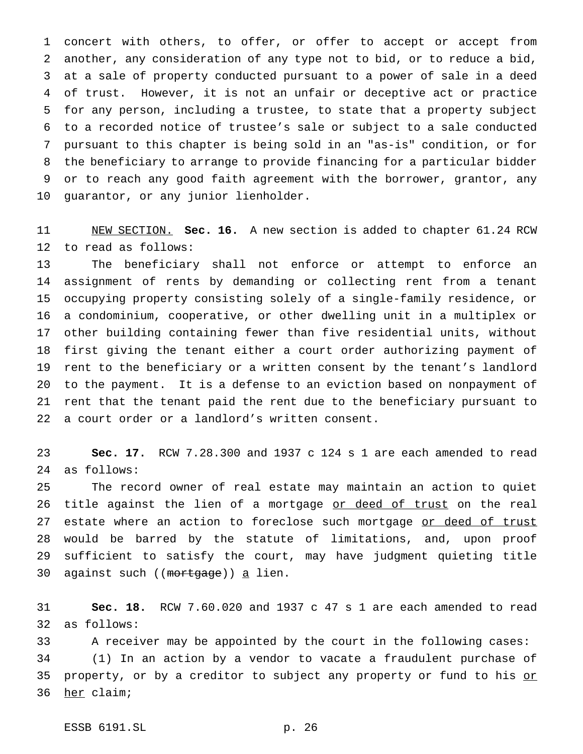concert with others, to offer, or offer to accept or accept from another, any consideration of any type not to bid, or to reduce a bid, at a sale of property conducted pursuant to a power of sale in a deed of trust. However, it is not an unfair or deceptive act or practice for any person, including a trustee, to state that a property subject to a recorded notice of trustee's sale or subject to a sale conducted pursuant to this chapter is being sold in an "as-is" condition, or for the beneficiary to arrange to provide financing for a particular bidder or to reach any good faith agreement with the borrower, grantor, any guarantor, or any junior lienholder.

 NEW SECTION. **Sec. 16.** A new section is added to chapter 61.24 RCW to read as follows:

 The beneficiary shall not enforce or attempt to enforce an assignment of rents by demanding or collecting rent from a tenant occupying property consisting solely of a single-family residence, or a condominium, cooperative, or other dwelling unit in a multiplex or other building containing fewer than five residential units, without first giving the tenant either a court order authorizing payment of rent to the beneficiary or a written consent by the tenant's landlord to the payment. It is a defense to an eviction based on nonpayment of rent that the tenant paid the rent due to the beneficiary pursuant to a court order or a landlord's written consent.

 **Sec. 17.** RCW 7.28.300 and 1937 c 124 s 1 are each amended to read as follows:

 The record owner of real estate may maintain an action to quiet 26 title against the lien of a mortgage <u>or deed of trust</u> on the real 27 estate where an action to foreclose such mortgage or deed of trust would be barred by the statute of limitations, and, upon proof sufficient to satisfy the court, may have judgment quieting title 30 against such ((mortgage)) a lien.

 **Sec. 18.** RCW 7.60.020 and 1937 c 47 s 1 are each amended to read as follows:

 A receiver may be appointed by the court in the following cases: (1) In an action by a vendor to vacate a fraudulent purchase of 35 property, or by a creditor to subject any property or fund to his or her claim;